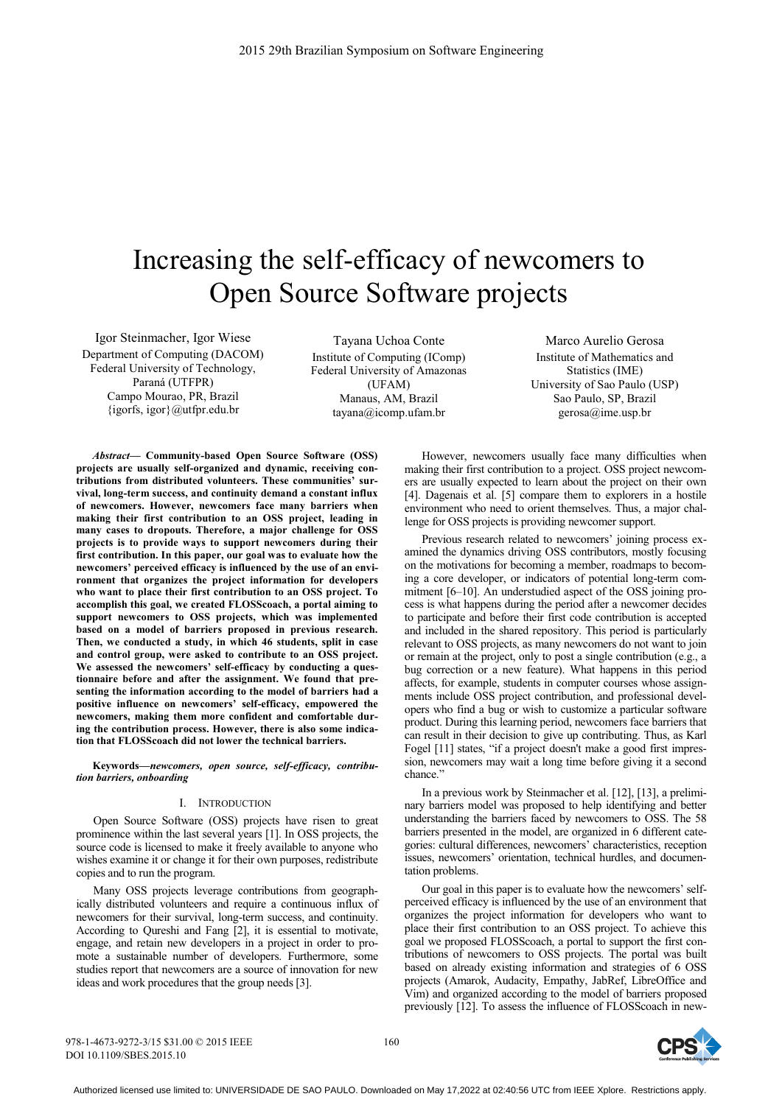# Increasing the self-efficacy of newcomers to Open Source Software projects

Igor Steinmacher, Igor Wiese Department of Computing (DACOM) Federal University of Technology, Paraná (UTFPR) Campo Mourao, PR, Brazil {igorfs, igor}@utfpr.edu.br

Tayana Uchoa Conte Institute of Computing (IComp) Federal University of Amazonas (UFAM) Manaus, AM, Brazil tayana@icomp.ufam.br

Marco Aurelio Gerosa Institute of Mathematics and Statistics (IME) University of Sao Paulo (USP) Sao Paulo, SP, Brazil gerosa@ime.usp.br

*Abstract***— Community-based Open Source Software (OSS) projects are usually self-organized and dynamic, receiving contributions from distributed volunteers. These communities' survival, long-term success, and continuity demand a constant influx of newcomers. However, newcomers face many barriers when making their first contribution to an OSS project, leading in many cases to dropouts. Therefore, a major challenge for OSS projects is to provide ways to support newcomers during their first contribution. In this paper, our goal was to evaluate how the newcomers' perceived efficacy is influenced by the use of an environment that organizes the project information for developers who want to place their first contribution to an OSS project. To accomplish this goal, we created FLOSScoach, a portal aiming to support newcomers to OSS projects, which was implemented based on a model of barriers proposed in previous research. Then, we conducted a study, in which 46 students, split in case and control group, were asked to contribute to an OSS project.**  We assessed the newcomers' self-efficacy by conducting a ques**tionnaire before and after the assignment. We found that presenting the information according to the model of barriers had a positive influence on newcomers' self-efficacy, empowered the newcomers, making them more confident and comfortable during the contribution process. However, there is also some indication that FLOSScoach did not lower the technical barriers.** 

**Keywords—***newcomers, open source, self-efficacy, contribution barriers, onboarding*

### I. INTRODUCTION

Open Source Software (OSS) projects have risen to great prominence within the last several years [1]. In OSS projects, the source code is licensed to make it freely available to anyone who wishes examine it or change it for their own purposes, redistribute copies and to run the program.

Many OSS projects leverage contributions from geographically distributed volunteers and require a continuous influx of newcomers for their survival, long-term success, and continuity. According to Qureshi and Fang [2], it is essential to motivate, engage, and retain new developers in a project in order to promote a sustainable number of developers. Furthermore, some studies report that newcomers are a source of innovation for new ideas and work procedures that the group needs [3].

However, newcomers usually face many difficulties when making their first contribution to a project. OSS project newcomers are usually expected to learn about the project on their own [4]. Dagenais et al. [5] compare them to explorers in a hostile environment who need to orient themselves. Thus, a major challenge for OSS projects is providing newcomer support.

Previous research related to newcomers' joining process examined the dynamics driving OSS contributors, mostly focusing on the motivations for becoming a member, roadmaps to becoming a core developer, or indicators of potential long-term commitment [6–10]. An understudied aspect of the OSS joining process is what happens during the period after a newcomer decides to participate and before their first code contribution is accepted and included in the shared repository. This period is particularly relevant to OSS projects, as many newcomers do not want to join or remain at the project, only to post a single contribution (e.g., a bug correction or a new feature). What happens in this period affects, for example, students in computer courses whose assignments include OSS project contribution, and professional developers who find a bug or wish to customize a particular software product. During this learning period, newcomers face barriers that can result in their decision to give up contributing. Thus, as Karl Fogel [11] states, "if a project doesn't make a good first impression, newcomers may wait a long time before giving it a second chance<sup>'</sup>

In a previous work by Steinmacher et al. [12], [13], a preliminary barriers model was proposed to help identifying and better understanding the barriers faced by newcomers to OSS. The 58 barriers presented in the model, are organized in 6 different categories: cultural differences, newcomers' characteristics, reception issues, newcomers' orientation, technical hurdles, and documentation problems.

Our goal in this paper is to evaluate how the newcomers' selfperceived efficacy is influenced by the use of an environment that organizes the project information for developers who want to place their first contribution to an OSS project. To achieve this goal we proposed FLOSScoach, a portal to support the first contributions of newcomers to OSS projects. The portal was built based on already existing information and strategies of 6 OSS projects (Amarok, Audacity, Empathy, JabRef, LibreOffice and Vim) and organized according to the model of barriers proposed previously [12]. To assess the influence of FLOSScoach in new-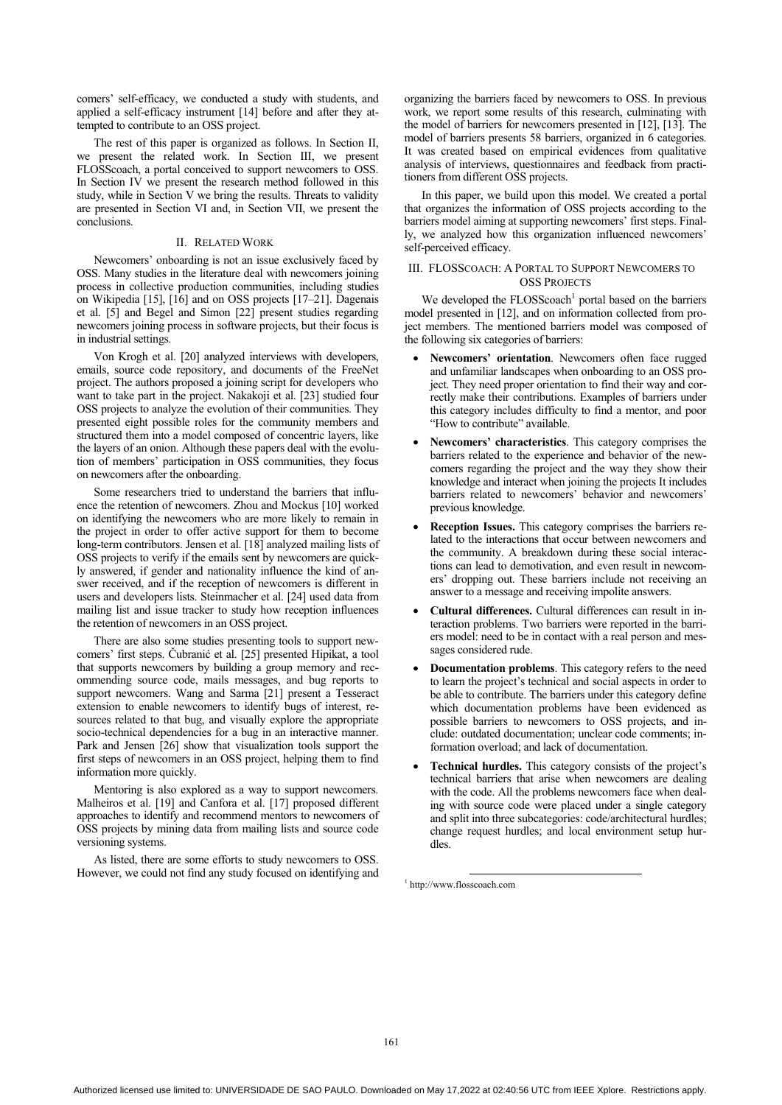comers' self-efficacy, we conducted a study with students, and applied a self-efficacy instrument [14] before and after they attempted to contribute to an OSS project.

The rest of this paper is organized as follows. In Section II, we present the related work. In Section III, we present FLOSScoach, a portal conceived to support newcomers to OSS. In Section IV we present the research method followed in this study, while in Section V we bring the results. Threats to validity are presented in Section VI and, in Section VII, we present the conclusions.

## II. RELATED WORK

Newcomers' onboarding is not an issue exclusively faced by OSS. Many studies in the literature deal with newcomers joining process in collective production communities, including studies on Wikipedia [15], [16] and on OSS projects [17–21]. Dagenais et al. [5] and Begel and Simon [22] present studies regarding newcomers joining process in software projects, but their focus is in industrial settings.

Von Krogh et al. [20] analyzed interviews with developers, emails, source code repository, and documents of the FreeNet project. The authors proposed a joining script for developers who want to take part in the project. Nakakoji et al. [23] studied four OSS projects to analyze the evolution of their communities. They presented eight possible roles for the community members and structured them into a model composed of concentric layers, like the layers of an onion. Although these papers deal with the evolution of members' participation in OSS communities, they focus on newcomers after the onboarding.

Some researchers tried to understand the barriers that influence the retention of newcomers. Zhou and Mockus [10] worked on identifying the newcomers who are more likely to remain in the project in order to offer active support for them to become long-term contributors. Jensen et al. [18] analyzed mailing lists of OSS projects to verify if the emails sent by newcomers are quickly answered, if gender and nationality influence the kind of answer received, and if the reception of newcomers is different in users and developers lists. Steinmacher et al. [24] used data from mailing list and issue tracker to study how reception influences the retention of newcomers in an OSS project.

There are also some studies presenting tools to support newcomers' first steps. Čubranić et al. [25] presented Hipikat, a tool that supports newcomers by building a group memory and recommending source code, mails messages, and bug reports to support newcomers. Wang and Sarma [21] present a Tesseract extension to enable newcomers to identify bugs of interest, resources related to that bug, and visually explore the appropriate socio-technical dependencies for a bug in an interactive manner. Park and Jensen [26] show that visualization tools support the first steps of newcomers in an OSS project, helping them to find information more quickly.

Mentoring is also explored as a way to support newcomers. Malheiros et al. [19] and Canfora et al. [17] proposed different approaches to identify and recommend mentors to newcomers of OSS projects by mining data from mailing lists and source code versioning systems.

As listed, there are some efforts to study newcomers to OSS. However, we could not find any study focused on identifying and organizing the barriers faced by newcomers to OSS. In previous work, we report some results of this research, culminating with the model of barriers for newcomers presented in [12], [13]. The model of barriers presents 58 barriers, organized in 6 categories. It was created based on empirical evidences from qualitative analysis of interviews, questionnaires and feedback from practitioners from different OSS projects.

In this paper, we build upon this model. We created a portal that organizes the information of OSS projects according to the barriers model aiming at supporting newcomers' first steps. Finally, we analyzed how this organization influenced newcomers' self-perceived efficacy.

# III. FLOSSCOACH: A PORTAL TO SUPPORT NEWCOMERS TO OSS PROJECTS

We developed the  $FLOSScoach<sup>1</sup>$  portal based on the barriers model presented in [12], and on information collected from project members. The mentioned barriers model was composed of the following six categories of barriers:

- - **Newcomers' orientation**. Newcomers often face rugged and unfamiliar landscapes when onboarding to an OSS project. They need proper orientation to find their way and correctly make their contributions. Examples of barriers under this category includes difficulty to find a mentor, and poor "How to contribute" available.
- - **Newcomers' characteristics**. This category comprises the barriers related to the experience and behavior of the newcomers regarding the project and the way they show their knowledge and interact when joining the projects It includes barriers related to newcomers' behavior and newcomers' previous knowledge.
- - **Reception Issues.** This category comprises the barriers related to the interactions that occur between newcomers and the community. A breakdown during these social interactions can lead to demotivation, and even result in newcomers' dropping out. These barriers include not receiving an answer to a message and receiving impolite answers.
- - **Cultural differences.** Cultural differences can result in interaction problems. Two barriers were reported in the barriers model: need to be in contact with a real person and messages considered rude.
- - **Documentation problems**. This category refers to the need to learn the project's technical and social aspects in order to be able to contribute. The barriers under this category define which documentation problems have been evidenced as possible barriers to newcomers to OSS projects, and include: outdated documentation; unclear code comments; information overload; and lack of documentation.
- - **Technical hurdles.** This category consists of the project's technical barriers that arise when newcomers are dealing with the code. All the problems newcomers face when dealing with source code were placed under a single category and split into three subcategories: code/architectural hurdles; change request hurdles; and local environment setup hurdles.

1 http://www.flosscoach.com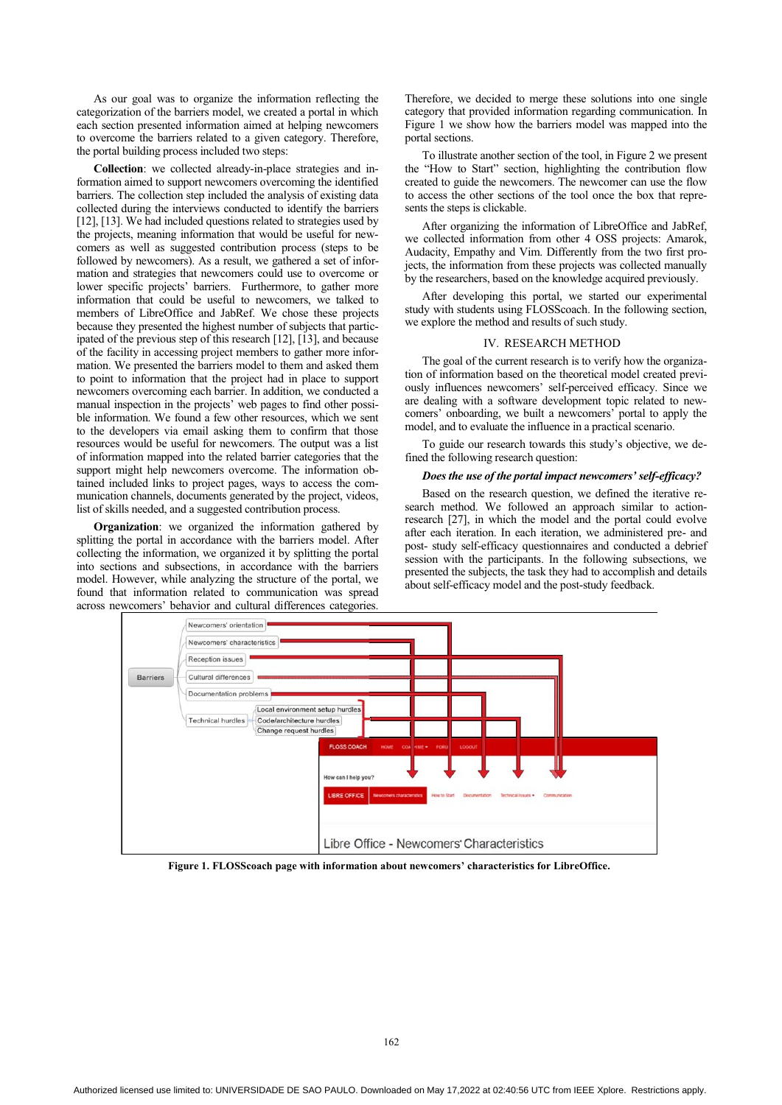As our goal was to organize the information reflecting the categorization of the barriers model, we created a portal in which each section presented information aimed at helping newcomers to overcome the barriers related to a given category. Therefore, the portal building process included two steps:

**Collection**: we collected already-in-place strategies and information aimed to support newcomers overcoming the identified barriers. The collection step included the analysis of existing data collected during the interviews conducted to identify the barriers [12], [13]. We had included questions related to strategies used by the projects, meaning information that would be useful for newcomers as well as suggested contribution process (steps to be followed by newcomers). As a result, we gathered a set of information and strategies that newcomers could use to overcome or lower specific projects' barriers. Furthermore, to gather more information that could be useful to newcomers, we talked to members of LibreOffice and JabRef. We chose these projects because they presented the highest number of subjects that participated of the previous step of this research [12], [13], and because of the facility in accessing project members to gather more information. We presented the barriers model to them and asked them to point to information that the project had in place to support newcomers overcoming each barrier. In addition, we conducted a manual inspection in the projects' web pages to find other possible information. We found a few other resources, which we sent to the developers via email asking them to confirm that those resources would be useful for newcomers. The output was a list of information mapped into the related barrier categories that the support might help newcomers overcome. The information obtained included links to project pages, ways to access the communication channels, documents generated by the project, videos, list of skills needed, and a suggested contribution process.

**Organization**: we organized the information gathered by splitting the portal in accordance with the barriers model. After collecting the information, we organized it by splitting the portal into sections and subsections, in accordance with the barriers model. However, while analyzing the structure of the portal, we found that information related to communication was spread across newcomers' behavior and cultural differences categories.

Therefore, we decided to merge these solutions into one single category that provided information regarding communication. In Figure 1 we show how the barriers model was mapped into the portal sections.

To illustrate another section of the tool, in Figure 2 we present the "How to Start" section, highlighting the contribution flow created to guide the newcomers. The newcomer can use the flow to access the other sections of the tool once the box that represents the steps is clickable.

After organizing the information of LibreOffice and JabRef, we collected information from other 4 OSS projects: Amarok, Audacity, Empathy and Vim. Differently from the two first projects, the information from these projects was collected manually by the researchers, based on the knowledge acquired previously.

After developing this portal, we started our experimental study with students using FLOSScoach. In the following section, we explore the method and results of such study.

## IV. RESEARCH METHOD

The goal of the current research is to verify how the organization of information based on the theoretical model created previously influences newcomers' self-perceived efficacy. Since we are dealing with a software development topic related to newcomers' onboarding, we built a newcomers' portal to apply the model, and to evaluate the influence in a practical scenario.

To guide our research towards this study's objective, we defined the following research question:

#### *Does the use of the portal impact newcomers' self-efficacy?*

Based on the research question, we defined the iterative research method. We followed an approach similar to actionresearch [27], in which the model and the portal could evolve after each iteration. In each iteration, we administered pre- and post- study self-efficacy questionnaires and conducted a debrief session with the participants. In the following subsections, we presented the subjects, the task they had to accomplish and details about self-efficacy model and the post-study feedback.



**Figure 1. FLOSScoach page with information about newcomers' characteristics for LibreOffice.**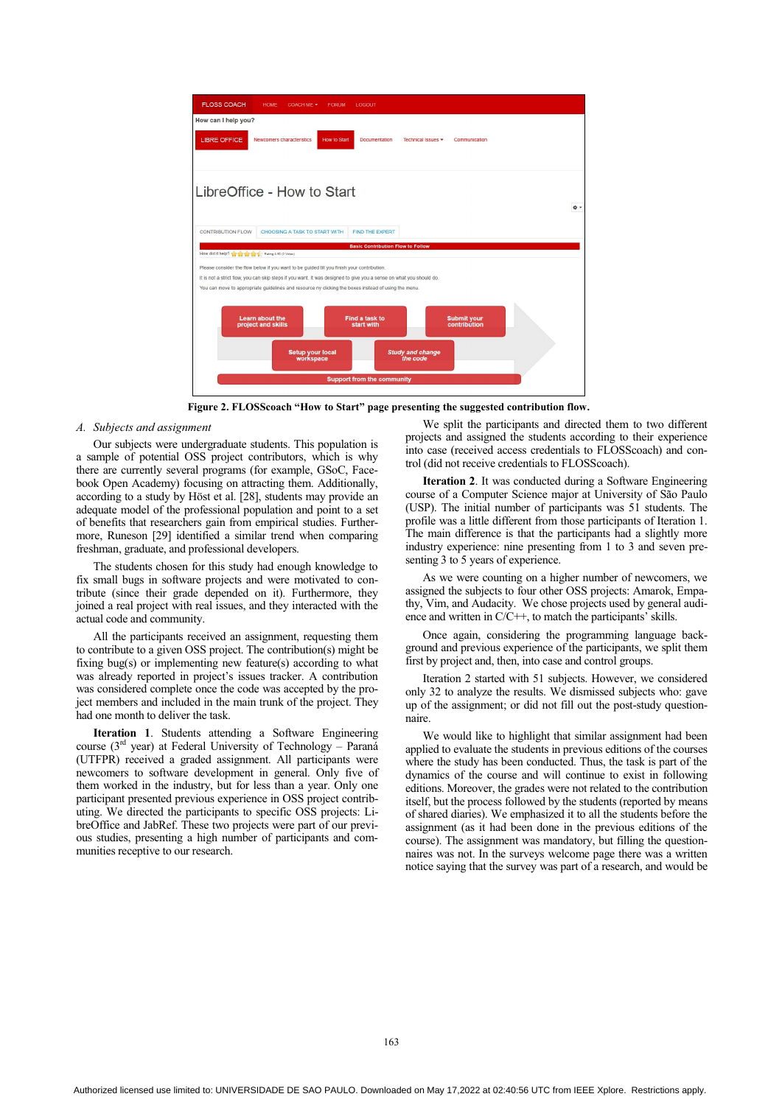

**Figure 2. FLOSScoach "How to Start" page presenting the suggested contribution flow.** 

# *A. Subjects and assignment*

Our subjects were undergraduate students. This population is a sample of potential OSS project contributors, which is why there are currently several programs (for example, GSoC, Facebook Open Academy) focusing on attracting them. Additionally, according to a study by Höst et al. [28], students may provide an adequate model of the professional population and point to a set of benefits that researchers gain from empirical studies. Furthermore, Runeson [29] identified a similar trend when comparing freshman, graduate, and professional developers.

The students chosen for this study had enough knowledge to fix small bugs in software projects and were motivated to contribute (since their grade depended on it). Furthermore, they joined a real project with real issues, and they interacted with the actual code and community.

All the participants received an assignment, requesting them to contribute to a given OSS project. The contribution(s) might be fixing bug(s) or implementing new feature(s) according to what was already reported in project's issues tracker. A contribution was considered complete once the code was accepted by the project members and included in the main trunk of the project. They had one month to deliver the task.

**Iteration 1**. Students attending a Software Engineering course ( $3<sup>rd</sup>$  year) at Federal University of Technology – Paraná (UTFPR) received a graded assignment. All participants were newcomers to software development in general. Only five of them worked in the industry, but for less than a year. Only one participant presented previous experience in OSS project contributing. We directed the participants to specific OSS projects: LibreOffice and JabRef. These two projects were part of our previous studies, presenting a high number of participants and communities receptive to our research.

We split the participants and directed them to two different projects and assigned the students according to their experience into case (received access credentials to FLOSScoach) and control (did not receive credentials to FLOSScoach).

**Iteration 2**. It was conducted during a Software Engineering course of a Computer Science major at University of São Paulo (USP). The initial number of participants was 51 students. The profile was a little different from those participants of Iteration 1. The main difference is that the participants had a slightly more industry experience: nine presenting from 1 to 3 and seven presenting 3 to 5 years of experience.

As we were counting on a higher number of newcomers, we assigned the subjects to four other OSS projects: Amarok, Empathy, Vim, and Audacity. We chose projects used by general audience and written in C/C++, to match the participants' skills.

Once again, considering the programming language background and previous experience of the participants, we split them first by project and, then, into case and control groups.

Iteration 2 started with 51 subjects. However, we considered only 32 to analyze the results. We dismissed subjects who: gave up of the assignment; or did not fill out the post-study questionnaire.

We would like to highlight that similar assignment had been applied to evaluate the students in previous editions of the courses where the study has been conducted. Thus, the task is part of the dynamics of the course and will continue to exist in following editions. Moreover, the grades were not related to the contribution itself, but the process followed by the students (reported by means of shared diaries). We emphasized it to all the students before the assignment (as it had been done in the previous editions of the course). The assignment was mandatory, but filling the questionnaires was not. In the surveys welcome page there was a written notice saying that the survey was part of a research, and would be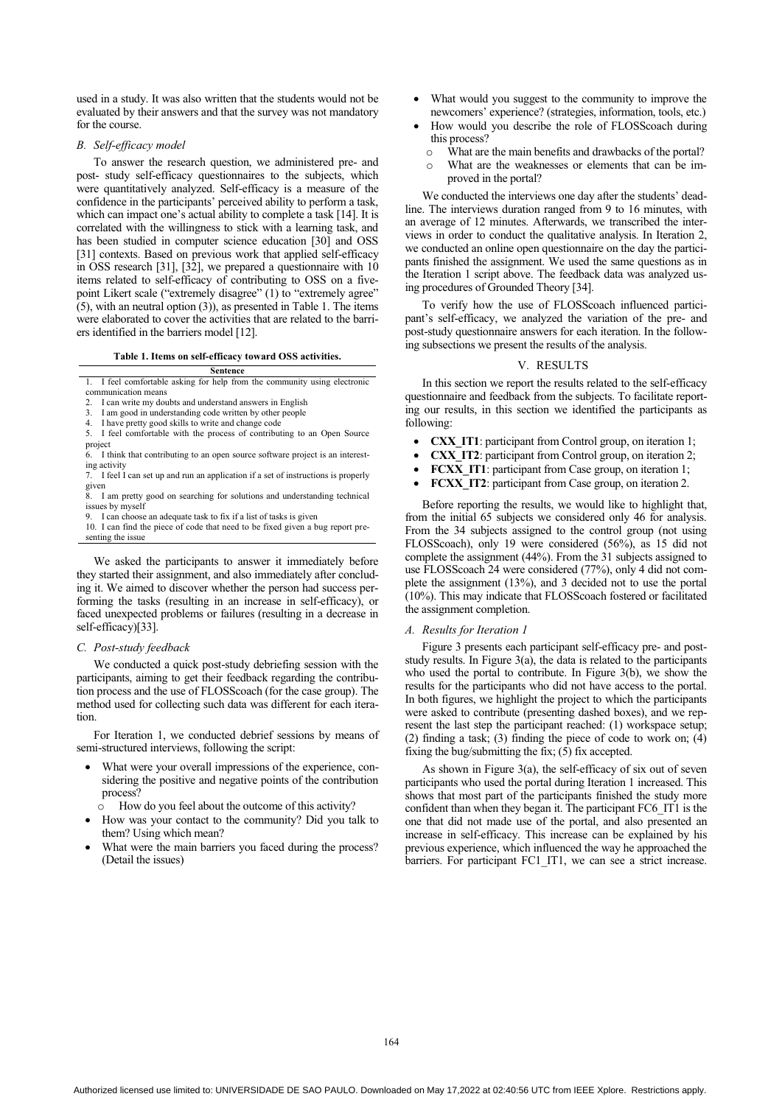used in a study. It was also written that the students would not be evaluated by their answers and that the survey was not mandatory for the course.

#### *B. Self-efficacy model*

To answer the research question, we administered pre- and post- study self-efficacy questionnaires to the subjects, which were quantitatively analyzed. Self-efficacy is a measure of the confidence in the participants' perceived ability to perform a task, which can impact one's actual ability to complete a task [14]. It is correlated with the willingness to stick with a learning task, and has been studied in computer science education [30] and OSS [31] contexts. Based on previous work that applied self-efficacy in OSS research [31], [32], we prepared a questionnaire with 10 items related to self-efficacy of contributing to OSS on a fivepoint Likert scale ("extremely disagree" (1) to "extremely agree" (5), with an neutral option (3)), as presented in Table 1. The items were elaborated to cover the activities that are related to the barriers identified in the barriers model [12].

**Table 1. Items on self-efficacy toward OSS activities. Sentence** 

| ocucuc                                                                    |
|---------------------------------------------------------------------------|
| 1. I feel comfortable asking for help from the community using electronic |
| communication means                                                       |
| 2. I can write my doubts and understand answers in English                |
| 3. I am good in understanding code written by other people                |
| 4. I have pretty good skills to write and change code                     |

5. I feel comfortable with the process of contributing to an Open Source project 6. I think that contributing to an open source software project is an interest-

ing activity 7. I feel I can set up and run an application if a set of instructions is properly

given

8. I am pretty good on searching for solutions and understanding technical issues by myself<br>9 I can choose

I can choose an adequate task to fix if a list of tasks is given

10. I can find the piece of code that need to be fixed given a bug report presenting the issue

We asked the participants to answer it immediately before they started their assignment, and also immediately after concluding it. We aimed to discover whether the person had success performing the tasks (resulting in an increase in self-efficacy), or faced unexpected problems or failures (resulting in a decrease in self-efficacy)[33].

## *C. Post-study feedback*

We conducted a quick post-study debriefing session with the participants, aiming to get their feedback regarding the contribution process and the use of FLOSScoach (for the case group). The method used for collecting such data was different for each iteration.

For Iteration 1, we conducted debrief sessions by means of semi-structured interviews, following the script:

- - What were your overall impressions of the experience, considering the positive and negative points of the contribution process?
	- o How do you feel about the outcome of this activity?
- How was your contact to the community? Did you talk to them? Using which mean?
- - What were the main barriers you faced during the process? (Detail the issues)
- - What would you suggest to the community to improve the newcomers' experience? (strategies, information, tools, etc.)
- - How would you describe the role of FLOSScoach during this process?
	- o What are the main benefits and drawbacks of the portal?
	- o What are the weaknesses or elements that can be improved in the portal?

We conducted the interviews one day after the students' deadline. The interviews duration ranged from 9 to 16 minutes, with an average of 12 minutes. Afterwards, we transcribed the interviews in order to conduct the qualitative analysis. In Iteration 2, we conducted an online open questionnaire on the day the participants finished the assignment. We used the same questions as in the Iteration 1 script above. The feedback data was analyzed using procedures of Grounded Theory [34].

To verify how the use of FLOSScoach influenced participant's self-efficacy, we analyzed the variation of the pre- and post-study questionnaire answers for each iteration. In the following subsections we present the results of the analysis.

## V. RESULTS

In this section we report the results related to the self-efficacy questionnaire and feedback from the subjects. To facilitate reporting our results, in this section we identified the participants as following:

- -**CXX IT1**: participant from Control group, on iteration 1;
- $\bullet$ **CXX IT2**: participant from Control group, on iteration 2;
- -**FCXX** IT1: participant from Case group, on iteration 1;
- -**FCXX** IT2: participant from Case group, on iteration 2.

Before reporting the results, we would like to highlight that, from the initial 65 subjects we considered only 46 for analysis. From the 34 subjects assigned to the control group (not using FLOSScoach), only 19 were considered (56%), as 15 did not complete the assignment (44%). From the 31 subjects assigned to use FLOSScoach 24 were considered (77%), only 4 did not complete the assignment (13%), and 3 decided not to use the portal (10%). This may indicate that FLOSScoach fostered or facilitated the assignment completion.

#### *A. Results for Iteration 1*

Figure 3 presents each participant self-efficacy pre- and poststudy results. In Figure 3(a), the data is related to the participants who used the portal to contribute. In Figure 3(b), we show the results for the participants who did not have access to the portal. In both figures, we highlight the project to which the participants were asked to contribute (presenting dashed boxes), and we represent the last step the participant reached: (1) workspace setup; (2) finding a task; (3) finding the piece of code to work on; (4) fixing the bug/submitting the fix;  $(5)$  fix accepted.

As shown in Figure 3(a), the self-efficacy of six out of seven participants who used the portal during Iteration 1 increased. This shows that most part of the participants finished the study more confident than when they began it. The participant FC6\_IT1 is the one that did not made use of the portal, and also presented an increase in self-efficacy. This increase can be explained by his previous experience, which influenced the way he approached the barriers. For participant FC1 IT1, we can see a strict increase.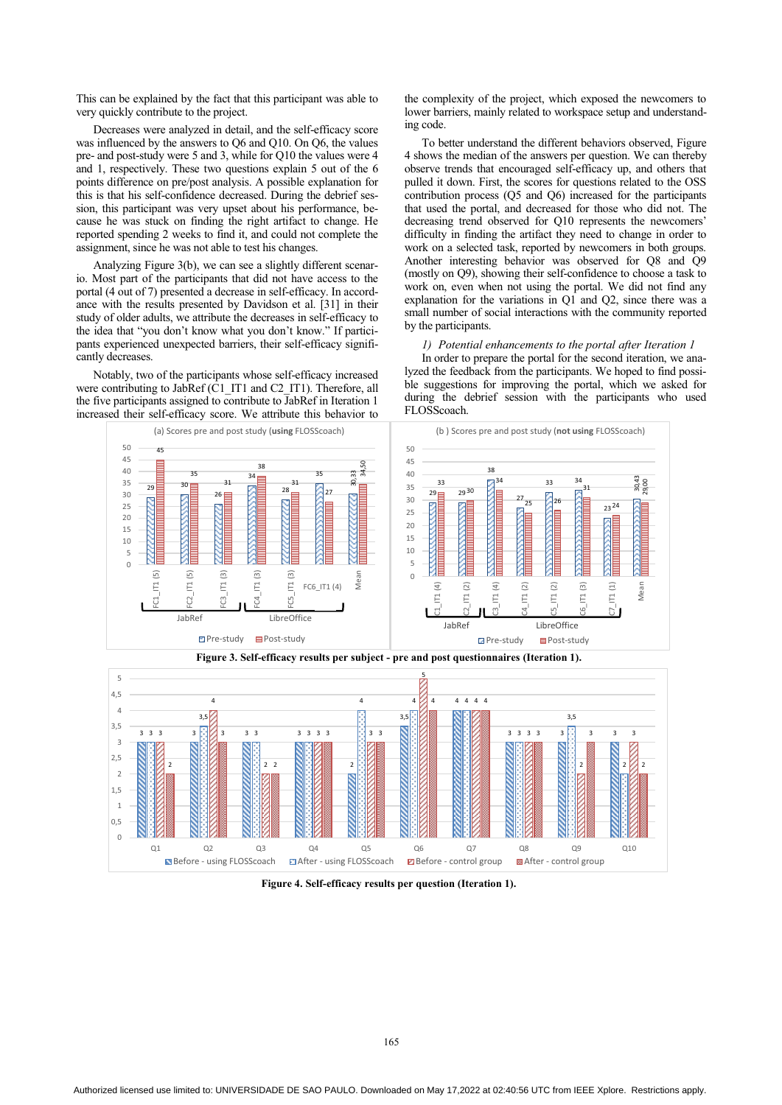This can be explained by the fact that this participant was able to very quickly contribute to the project.

Decreases were analyzed in detail, and the self-efficacy score was influenced by the answers to Q6 and Q10. On Q6, the values pre- and post-study were 5 and 3, while for Q10 the values were 4 and 1, respectively. These two questions explain 5 out of the 6 points difference on pre/post analysis. A possible explanation for this is that his self-confidence decreased. During the debrief session, this participant was very upset about his performance, because he was stuck on finding the right artifact to change. He reported spending 2 weeks to find it, and could not complete the assignment, since he was not able to test his changes.

Analyzing Figure 3(b), we can see a slightly different scenario. Most part of the participants that did not have access to the portal (4 out of 7) presented a decrease in self-efficacy. In accordance with the results presented by Davidson et al. [31] in their study of older adults, we attribute the decreases in self-efficacy to the idea that "you don't know what you don't know." If participants experienced unexpected barriers, their self-efficacy significantly decreases.

Notably, two of the participants whose self-efficacy increased were contributing to JabRef (C1\_IT1 and C2\_IT1). Therefore, all the five participants assigned to contribute to JabRef in Iteration 1 increased their self-efficacy score. We attribute this behavior to the complexity of the project, which exposed the newcomers to lower barriers, mainly related to workspace setup and understanding code.

To better understand the different behaviors observed, Figure 4 shows the median of the answers per question. We can thereby observe trends that encouraged self-efficacy up, and others that pulled it down. First, the scores for questions related to the OSS contribution process (Q5 and Q6) increased for the participants that used the portal, and decreased for those who did not. The decreasing trend observed for Q10 represents the newcomers' difficulty in finding the artifact they need to change in order to work on a selected task, reported by newcomers in both groups. Another interesting behavior was observed for Q8 and Q9 (mostly on Q9), showing their self-confidence to choose a task to work on, even when not using the portal. We did not find any explanation for the variations in Q1 and Q2, since there was a small number of social interactions with the community reported by the participants.

*1) Potential enhancements to the portal after Iteration 1*  In order to prepare the portal for the second iteration, we analyzed the feedback from the participants. We hoped to find possible suggestions for improving the portal, which we asked for during the debrief session with the participants who used FLOSScoach.





**Figure 4. Self-efficacy results per question (Iteration 1).**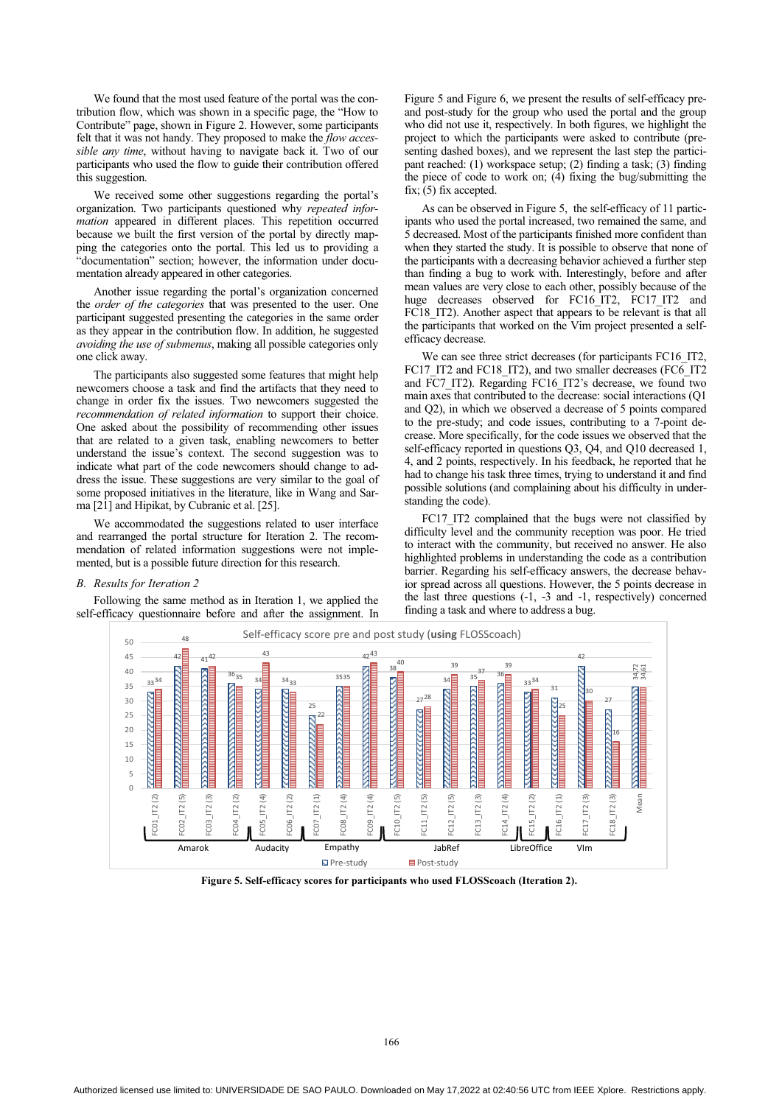We found that the most used feature of the portal was the contribution flow, which was shown in a specific page, the "How to Contribute" page, shown in Figure 2. However, some participants felt that it was not handy. They proposed to make the *flow accessible any time*, without having to navigate back it. Two of our participants who used the flow to guide their contribution offered this suggestion.

We received some other suggestions regarding the portal's organization. Two participants questioned why *repeated information* appeared in different places. This repetition occurred because we built the first version of the portal by directly mapping the categories onto the portal. This led us to providing a "documentation" section; however, the information under documentation already appeared in other categories.

Another issue regarding the portal's organization concerned the *order of the categories* that was presented to the user. One participant suggested presenting the categories in the same order as they appear in the contribution flow. In addition, he suggested *avoiding the use of submenus*, making all possible categories only one click away.

The participants also suggested some features that might help newcomers choose a task and find the artifacts that they need to change in order fix the issues. Two newcomers suggested the *recommendation of related information* to support their choice. One asked about the possibility of recommending other issues that are related to a given task, enabling newcomers to better understand the issue's context. The second suggestion was to indicate what part of the code newcomers should change to address the issue. These suggestions are very similar to the goal of some proposed initiatives in the literature, like in Wang and Sarma [21] and Hipikat, by Cubranic et al. [25].

We accommodated the suggestions related to user interface and rearranged the portal structure for Iteration 2. The recommendation of related information suggestions were not implemented, but is a possible future direction for this research.

#### *B. Results for Iteration 2*

Following the same method as in Iteration 1, we applied the self-efficacy questionnaire before and after the assignment. In Figure 5 and Figure 6, we present the results of self-efficacy preand post-study for the group who used the portal and the group who did not use it, respectively. In both figures, we highlight the project to which the participants were asked to contribute (presenting dashed boxes), and we represent the last step the participant reached: (1) workspace setup; (2) finding a task; (3) finding the piece of code to work on; (4) fixing the bug/submitting the fix; (5) fix accepted.

As can be observed in Figure 5, the self-efficacy of 11 participants who used the portal increased, two remained the same, and 5 decreased. Most of the participants finished more confident than when they started the study. It is possible to observe that none of the participants with a decreasing behavior achieved a further step than finding a bug to work with. Interestingly, before and after mean values are very close to each other, possibly because of the huge decreases observed for FC16\_IT2, FC17\_IT2 and FC18 IT2). Another aspect that appears to be relevant is that all the participants that worked on the Vim project presented a selfefficacy decrease.

We can see three strict decreases (for participants FC16\_IT2, FC17 IT2 and FC18 IT2), and two smaller decreases (FC6 IT2 and FC7 IT2). Regarding FC16 IT2's decrease, we found two main axes that contributed to the decrease: social interactions (Q1 and Q2), in which we observed a decrease of 5 points compared to the pre-study; and code issues, contributing to a 7-point decrease. More specifically, for the code issues we observed that the self-efficacy reported in questions Q3, Q4, and Q10 decreased 1, 4, and 2 points, respectively. In his feedback, he reported that he had to change his task three times, trying to understand it and find possible solutions (and complaining about his difficulty in understanding the code).

FC17 IT2 complained that the bugs were not classified by difficulty level and the community reception was poor. He tried to interact with the community, but received no answer. He also highlighted problems in understanding the code as a contribution barrier. Regarding his self-efficacy answers, the decrease behavior spread across all questions. However, the 5 points decrease in the last three questions (-1, -3 and -1, respectively) concerned finding a task and where to address a bug.



**Figure 5. Self-efficacy scores for participants who used FLOSScoach (Iteration 2).**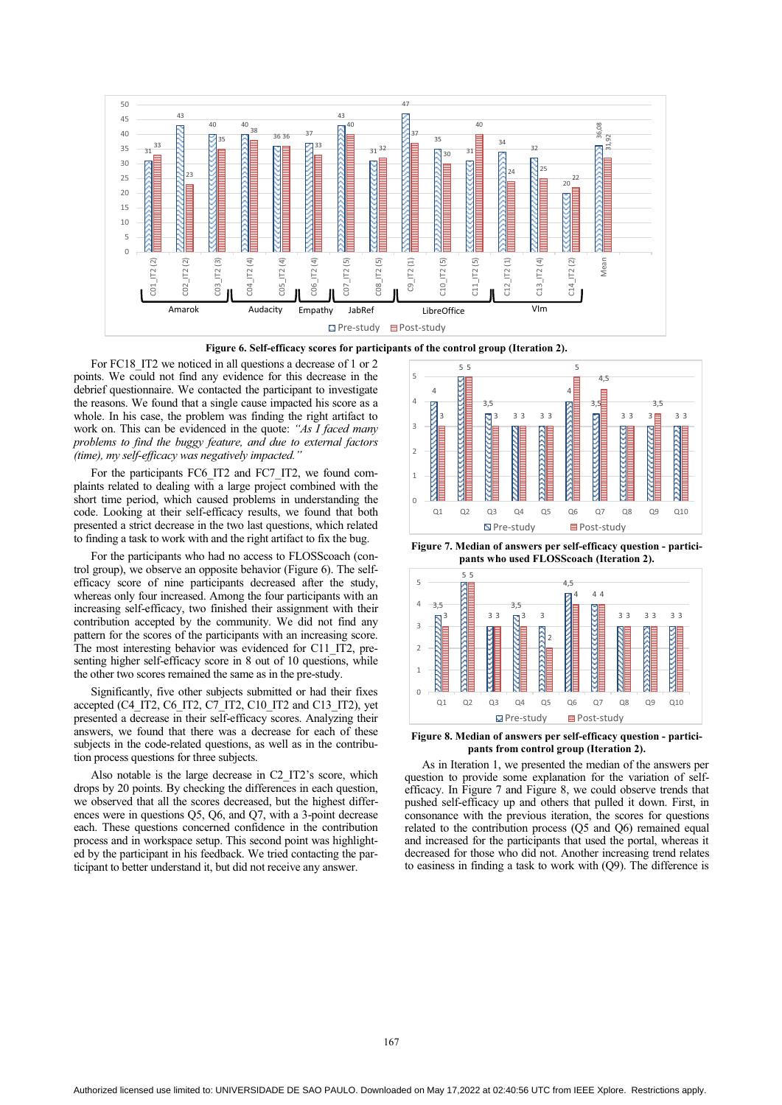

**Figure 6. Self-efficacy scores for participants of the control group (Iteration 2).** 

For FC18 IT2 we noticed in all questions a decrease of 1 or 2 points. We could not find any evidence for this decrease in the debrief questionnaire. We contacted the participant to investigate the reasons. We found that a single cause impacted his score as a whole. In his case, the problem was finding the right artifact to work on. This can be evidenced in the quote: *"As I faced many problems to find the buggy feature, and due to external factors (time), my self-efficacy was negatively impacted."* 

For the participants FC6\_IT2 and FC7\_IT2, we found complaints related to dealing with a large project combined with the short time period, which caused problems in understanding the code. Looking at their self-efficacy results, we found that both presented a strict decrease in the two last questions, which related to finding a task to work with and the right artifact to fix the bug.

For the participants who had no access to FLOSScoach (control group), we observe an opposite behavior (Figure 6). The selfefficacy score of nine participants decreased after the study, whereas only four increased. Among the four participants with an increasing self-efficacy, two finished their assignment with their contribution accepted by the community. We did not find any pattern for the scores of the participants with an increasing score. The most interesting behavior was evidenced for C11\_IT2, presenting higher self-efficacy score in 8 out of 10 questions, while the other two scores remained the same as in the pre-study.

Significantly, five other subjects submitted or had their fixes accepted (C4\_IT2, C6\_IT2, C7\_IT2, C10\_IT2 and C13\_IT2), yet presented a decrease in their self-efficacy scores. Analyzing their answers, we found that there was a decrease for each of these subjects in the code-related questions, as well as in the contribution process questions for three subjects.

Also notable is the large decrease in C2\_IT2's score, which drops by 20 points. By checking the differences in each question, we observed that all the scores decreased, but the highest differences were in questions Q5, Q6, and Q7, with a 3-point decrease each. These questions concerned confidence in the contribution process and in workspace setup. This second point was highlighted by the participant in his feedback. We tried contacting the participant to better understand it, but did not receive any answer.



**Figure 7. Median of answers per self-efficacy question - participants who used FLOSScoach (Iteration 2).** 



**Figure 8. Median of answers per self-efficacy question - participants from control group (Iteration 2).** 

As in Iteration 1, we presented the median of the answers per question to provide some explanation for the variation of selfefficacy. In Figure 7 and Figure 8, we could observe trends that pushed self-efficacy up and others that pulled it down. First, in consonance with the previous iteration, the scores for questions related to the contribution process (Q5 and Q6) remained equal and increased for the participants that used the portal, whereas it decreased for those who did not. Another increasing trend relates to easiness in finding a task to work with (Q9). The difference is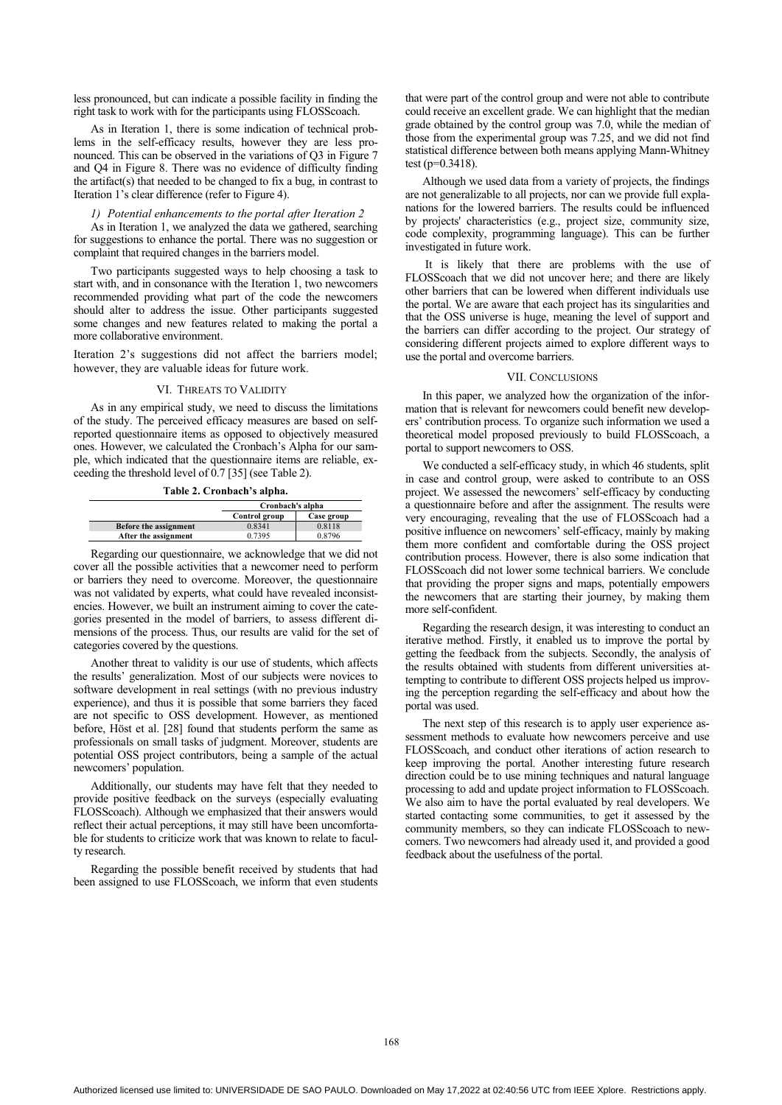less pronounced, but can indicate a possible facility in finding the right task to work with for the participants using FLOSScoach.

As in Iteration 1, there is some indication of technical problems in the self-efficacy results, however they are less pronounced. This can be observed in the variations of Q3 in Figure 7 and Q4 in Figure 8. There was no evidence of difficulty finding the artifact(s) that needed to be changed to fix a bug, in contrast to Iteration 1's clear difference (refer to Figure 4).

# *1) Potential enhancements to the portal after Iteration 2*

As in Iteration 1, we analyzed the data we gathered, searching for suggestions to enhance the portal. There was no suggestion or complaint that required changes in the barriers model.

Two participants suggested ways to help choosing a task to start with, and in consonance with the Iteration 1, two newcomers recommended providing what part of the code the newcomers should alter to address the issue. Other participants suggested some changes and new features related to making the portal a more collaborative environment.

Iteration 2's suggestions did not affect the barriers model; however, they are valuable ideas for future work.

#### VI. THREATS TO VALIDITY

As in any empirical study, we need to discuss the limitations of the study. The perceived efficacy measures are based on selfreported questionnaire items as opposed to objectively measured ones. However, we calculated the Cronbach's Alpha for our sample, which indicated that the questionnaire items are reliable, exceeding the threshold level of 0.7 [35] (see Table 2).

**Table 2. Cronbach's alpha.** 

|                       | Cronbach's alpha |            |
|-----------------------|------------------|------------|
|                       | Control group    | Case group |
| Before the assignment | 0.8341           | 0.8118     |
| After the assignment  | 0.7395           | 0.8796     |

Regarding our questionnaire, we acknowledge that we did not cover all the possible activities that a newcomer need to perform or barriers they need to overcome. Moreover, the questionnaire was not validated by experts, what could have revealed inconsistencies. However, we built an instrument aiming to cover the categories presented in the model of barriers, to assess different dimensions of the process. Thus, our results are valid for the set of categories covered by the questions.

Another threat to validity is our use of students, which affects the results' generalization. Most of our subjects were novices to software development in real settings (with no previous industry experience), and thus it is possible that some barriers they faced are not specific to OSS development. However, as mentioned before, Höst et al. [28] found that students perform the same as professionals on small tasks of judgment. Moreover, students are potential OSS project contributors, being a sample of the actual newcomers' population.

Additionally, our students may have felt that they needed to provide positive feedback on the surveys (especially evaluating FLOSScoach). Although we emphasized that their answers would reflect their actual perceptions, it may still have been uncomfortable for students to criticize work that was known to relate to faculty research.

Regarding the possible benefit received by students that had been assigned to use FLOSScoach, we inform that even students that were part of the control group and were not able to contribute could receive an excellent grade. We can highlight that the median grade obtained by the control group was 7.0, while the median of those from the experimental group was 7.25, and we did not find statistical difference between both means applying Mann-Whitney test (p=0.3418).

Although we used data from a variety of projects, the findings are not generalizable to all projects, nor can we provide full explanations for the lowered barriers. The results could be influenced by projects' characteristics (e.g., project size, community size, code complexity, programming language). This can be further investigated in future work.

 It is likely that there are problems with the use of FLOSScoach that we did not uncover here; and there are likely other barriers that can be lowered when different individuals use the portal. We are aware that each project has its singularities and that the OSS universe is huge, meaning the level of support and the barriers can differ according to the project. Our strategy of considering different projects aimed to explore different ways to use the portal and overcome barriers.

#### VII. CONCLUSIONS

In this paper, we analyzed how the organization of the information that is relevant for newcomers could benefit new developers' contribution process. To organize such information we used a theoretical model proposed previously to build FLOSScoach, a portal to support newcomers to OSS.

We conducted a self-efficacy study, in which 46 students, split in case and control group, were asked to contribute to an OSS project. We assessed the newcomers' self-efficacy by conducting a questionnaire before and after the assignment. The results were very encouraging, revealing that the use of FLOSScoach had a positive influence on newcomers' self-efficacy, mainly by making them more confident and comfortable during the OSS project contribution process. However, there is also some indication that FLOSScoach did not lower some technical barriers. We conclude that providing the proper signs and maps, potentially empowers the newcomers that are starting their journey, by making them more self-confident.

Regarding the research design, it was interesting to conduct an iterative method. Firstly, it enabled us to improve the portal by getting the feedback from the subjects. Secondly, the analysis of the results obtained with students from different universities attempting to contribute to different OSS projects helped us improving the perception regarding the self-efficacy and about how the portal was used.

The next step of this research is to apply user experience assessment methods to evaluate how newcomers perceive and use FLOSScoach, and conduct other iterations of action research to keep improving the portal. Another interesting future research direction could be to use mining techniques and natural language processing to add and update project information to FLOSScoach. We also aim to have the portal evaluated by real developers. We started contacting some communities, to get it assessed by the community members, so they can indicate FLOSScoach to newcomers. Two newcomers had already used it, and provided a good feedback about the usefulness of the portal.